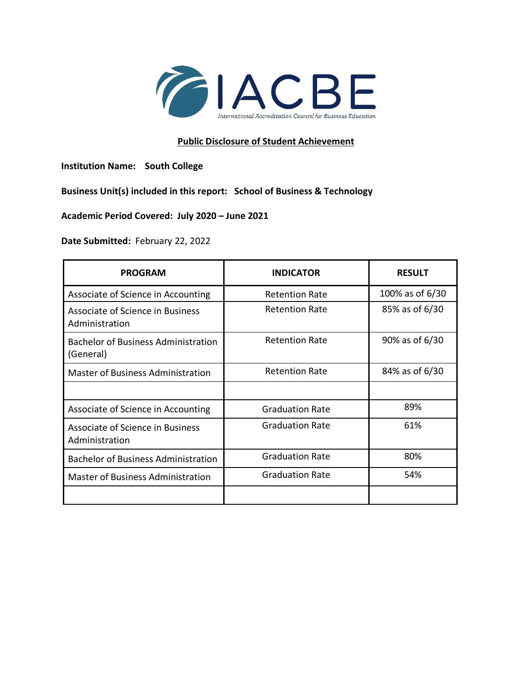

## **Public Disclosure of Student Achievement**

**Institution Name: South College**

**Business Unit(s) included in this report: School of Business & Technology**

**Academic Period Covered: July 2020 – June 2021**

**Date Submitted:** February 22, 2022

| <b>PROGRAM</b>                                          | <b>INDICATOR</b>       | <b>RESULT</b>   |
|---------------------------------------------------------|------------------------|-----------------|
| Associate of Science in Accounting                      | <b>Retention Rate</b>  | 100% as of 6/30 |
| Associate of Science in Business<br>Administration      | <b>Retention Rate</b>  | 85% as of 6/30  |
| <b>Bachelor of Business Administration</b><br>(General) | <b>Retention Rate</b>  | 90% as of 6/30  |
| <b>Master of Business Administration</b>                | <b>Retention Rate</b>  | 84% as of 6/30  |
|                                                         |                        |                 |
| Associate of Science in Accounting                      | <b>Graduation Rate</b> | 89%             |
| Associate of Science in Business<br>Administration      | <b>Graduation Rate</b> | 61%             |
| <b>Bachelor of Business Administration</b>              | <b>Graduation Rate</b> | 80%             |
| <b>Master of Business Administration</b>                | <b>Graduation Rate</b> | 54%             |
|                                                         |                        |                 |